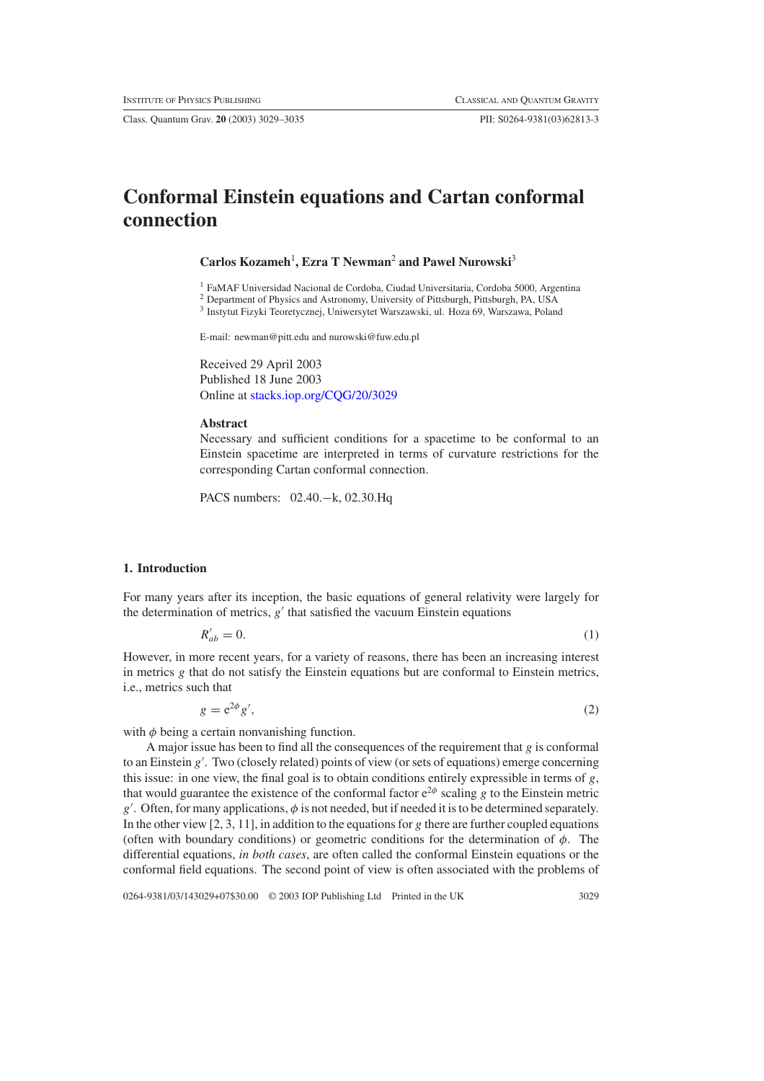Class. Quantum Grav. **20** (2003) 3029–3035 PII: S0264-9381(03)62813-3

# **Conformal Einstein equations and Cartan conformal connection**

**Carlos Kozameh**<sup>1</sup> **, Ezra T Newman**<sup>2</sup> **and Pawel Nurowski**<sup>3</sup>

<sup>1</sup> FaMAF Universidad Nacional de Cordoba, Ciudad Universitaria, Cordoba 5000, Argentina

<sup>2</sup> Department of Physics and Astronomy, University of Pittsburgh, Pittsburgh, PA, USA

<sup>3</sup> Instytut Fizyki Teoretycznej, Uniwersytet Warszawski, ul. Hoza 69, Warszawa, Poland

E-mail: newman@pitt.edu and nurowski@fuw.edu.pl

Received 29 April 2003 Published 18 June 2003 Online at [stacks.iop.org/CQG/20/3029](http://stacks.iop.org/cq/20/3029)

#### **Abstract**

Necessary and sufficient conditions for a spacetime to be conformal to an Einstein spacetime are interpreted in terms of curvature restrictions for the corresponding Cartan conformal connection.

PACS numbers: 02.40.−k, 02.30.Hq

### **1. Introduction**

For many years after its inception, the basic equations of general relativity were largely for the determination of metrics,  $g'$  that satisfied the vacuum Einstein equations

> $R'_{ab}=0.$  $a'_{ab} = 0.$  (1)

However, in more recent years, for a variety of reasons, there has been an increasing interest in metrics *g* that do not satisfy the Einstein equations but are conformal to Einstein metrics, i.e., metrics such that

$$
g = e^{2\phi} g',\tag{2}
$$

with  $\phi$  being a certain nonvanishing function.

A major issue has been to find all the consequences of the requirement that *g* is conformal to an Einstein *g* . Two (closely related) points of view (or sets of equations) emerge concerning this issue: in one view, the final goal is to obtain conditions entirely expressible in terms of *g*, that would guarantee the existence of the conformal factor  $e^{2\phi}$  scaling *g* to the Einstein metric *g* . Often, for many applications, *φ* is not needed, but if needed it is to be determined separately. In the other view [2, 3, 11], in addition to the equations for *g* there are further coupled equations (often with boundary conditions) or geometric conditions for the determination of *φ*. The differential equations, *in both cases*, are often called the conformal Einstein equations or the conformal field equations. The second point of view is often associated with the problems of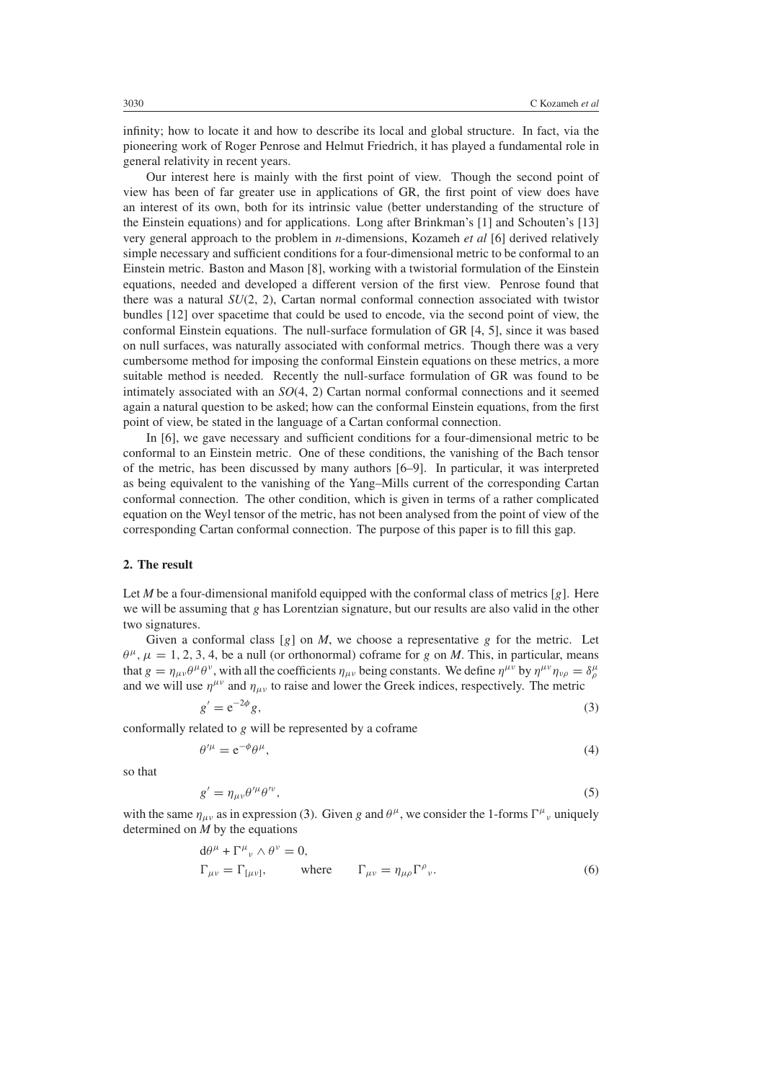infinity; how to locate it and how to describe its local and global structure. In fact, via the pioneering work of Roger Penrose and Helmut Friedrich, it has played a fundamental role in general relativity in recent years.

Our interest here is mainly with the first point of view. Though the second point of view has been of far greater use in applications of GR, the first point of view does have an interest of its own, both for its intrinsic value (better understanding of the structure of the Einstein equations) and for applications. Long after Brinkman's [1] and Schouten's [13] very general approach to the problem in *n*-dimensions, Kozameh *et al* [6] derived relatively simple necessary and sufficient conditions for a four-dimensional metric to be conformal to an Einstein metric. Baston and Mason [8], working with a twistorial formulation of the Einstein equations, needed and developed a different version of the first view. Penrose found that there was a natural *SU*(2, 2), Cartan normal conformal connection associated with twistor bundles [12] over spacetime that could be used to encode, via the second point of view, the conformal Einstein equations. The null-surface formulation of GR [4, 5], since it was based on null surfaces, was naturally associated with conformal metrics. Though there was a very cumbersome method for imposing the conformal Einstein equations on these metrics, a more suitable method is needed. Recently the null-surface formulation of GR was found to be intimately associated with an *SO*(4, 2) Cartan normal conformal connections and it seemed again a natural question to be asked; how can the conformal Einstein equations, from the first point of view, be stated in the language of a Cartan conformal connection.

In [6], we gave necessary and sufficient conditions for a four-dimensional metric to be conformal to an Einstein metric. One of these conditions, the vanishing of the Bach tensor of the metric, has been discussed by many authors [6–9]. In particular, it was interpreted as being equivalent to the vanishing of the Yang–Mills current of the corresponding Cartan conformal connection. The other condition, which is given in terms of a rather complicated equation on the Weyl tensor of the metric, has not been analysed from the point of view of the corresponding Cartan conformal connection. The purpose of this paper is to fill this gap.

#### **2. The result**

Let *M* be a four-dimensional manifold equipped with the conformal class of metrics  $[g]$ . Here we will be assuming that *g* has Lorentzian signature, but our results are also valid in the other two signatures.

Given a conformal class  $[g]$  on *M*, we choose a representative *g* for the metric. Let  $\theta^{\mu}$ ,  $\mu = 1, 2, 3, 4$ , be a null (or orthonormal) coframe for *g* on *M*. This, in particular, means that  $g = \eta_{\mu\nu}\theta^{\mu}\theta^{\nu}$ , with all the coefficients  $\eta_{\mu\nu}$  being constants. We define  $\eta^{\mu\nu}$  by  $\eta^{\mu\nu}\eta_{\nu\rho} = \delta^{\mu}_{\rho}$ and we will use  $\eta^{\mu\nu}$  and  $\eta_{\mu\nu}$  to raise and lower the Greek indices, respectively. The metric

$$
g' = e^{-2\phi} g,\tag{3}
$$

<span id="page-1-0"></span>conformally related to *g* will be represented by a coframe

$$
\theta^{\prime \mu} = e^{-\phi} \theta^{\mu},\tag{4}
$$

so that

$$
g' = \eta_{\mu\nu} \theta'^{\mu} \theta'^{\nu},\tag{5}
$$

with the same  $\eta_{\mu\nu}$  as in expression [\(3\)](#page-1-0). Given *g* and  $\theta^{\mu}$ , we consider the 1-forms  $\Gamma^{\mu}{}_{\nu}$  uniquely determined on *M* by the equations

$$
d\theta^{\mu} + \Gamma^{\mu}{}_{\nu} \wedge \theta^{\nu} = 0,
$$
  
\n
$$
\Gamma_{\mu\nu} = \Gamma_{[\mu\nu]}, \qquad \text{where} \qquad \Gamma_{\mu\nu} = \eta_{\mu\rho} \Gamma^{\rho}{}_{\nu}.
$$
 (6)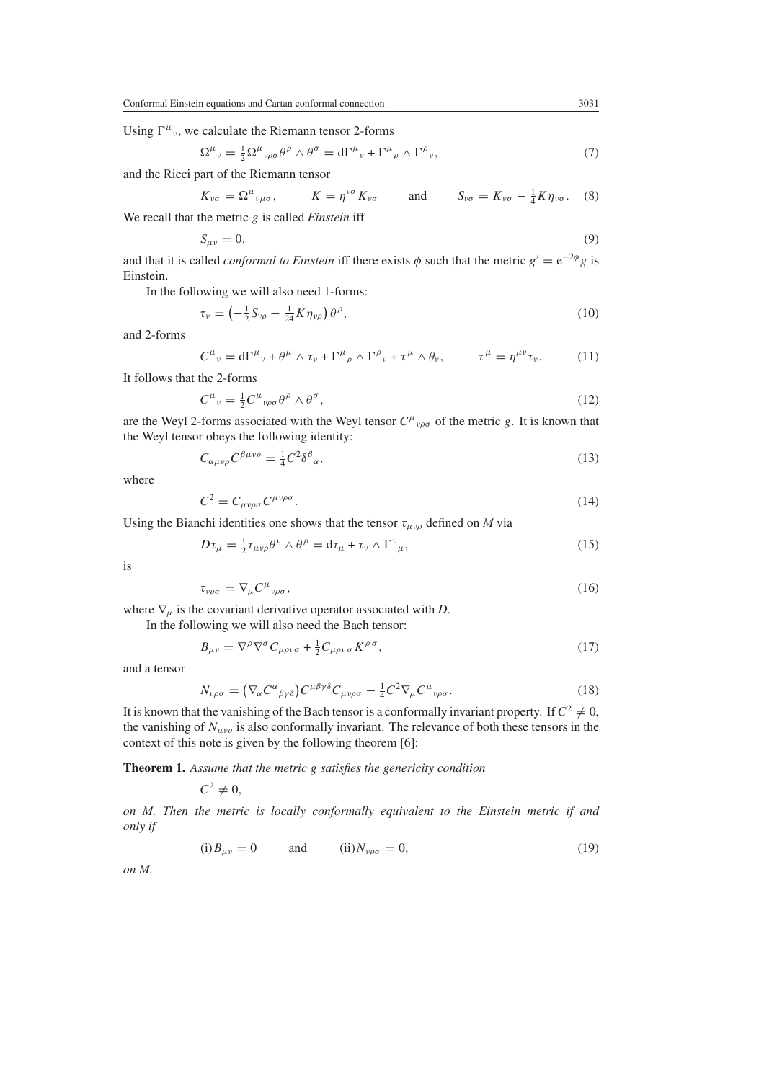Using  $\Gamma^{\mu}{}_{\nu}$ , we calculate the Riemann tensor 2-forms

$$
\Omega^{\mu}{}_{\nu} = \frac{1}{2} \Omega^{\mu}{}_{\nu\rho\sigma} \theta^{\rho} \wedge \theta^{\sigma} = d\Gamma^{\mu}{}_{\nu} + \Gamma^{\mu}{}_{\rho} \wedge \Gamma^{\rho}{}_{\nu},\tag{7}
$$

and the Ricci part of the Riemann tensor

$$
K_{\nu\sigma} = \Omega^{\mu}{}_{\nu\mu\sigma}, \qquad K = \eta^{\nu\sigma} K_{\nu\sigma} \qquad \text{and} \qquad S_{\nu\sigma} = K_{\nu\sigma} - \frac{1}{4} K \eta_{\nu\sigma}. \tag{8}
$$

We recall that the metric *g* is called *Einstein* iff

$$
S_{\mu\nu} = 0,\tag{9}
$$

and that it is called *conformal to Einstein* iff there exists  $\phi$  such that the metric  $g' = e^{-2\phi}g$  is Einstein.

In the following we will also need 1-forms:

$$
\tau_{\nu} = \left(-\frac{1}{2}S_{\nu\rho} - \frac{1}{24}K\eta_{\nu\rho}\right)\theta^{\rho},\tag{10}
$$

and 2-forms

$$
C^{\mu}{}_{\nu} = d\Gamma^{\mu}{}_{\nu} + \theta^{\mu} \wedge \tau_{\nu} + \Gamma^{\mu}{}_{\rho} \wedge \Gamma^{\rho}{}_{\nu} + \tau^{\mu} \wedge \theta_{\nu}, \qquad \tau^{\mu} = \eta^{\mu\nu} \tau_{\nu}. \tag{11}
$$

It follows that the 2-forms

$$
C^{\mu}{}_{\nu} = \frac{1}{2} C^{\mu}{}_{\nu\rho\sigma} \theta^{\rho} \wedge \theta^{\sigma}, \qquad (12)
$$

<span id="page-2-1"></span>are the Weyl 2-forms associated with the Weyl tensor  $C^{\mu}{}_{\nu\rho\sigma}$  of the metric *g*. It is known that the Weyl tensor obeys the following identity:

$$
C_{\alpha\mu\nu\rho}C^{\beta\mu\nu\rho} = \frac{1}{4}C^2\delta^{\beta}{}_{\alpha},\tag{13}
$$

where

$$
C^2 = C_{\mu\nu\rho\sigma} C^{\mu\nu\rho\sigma}.
$$
\n(14)

Using the Bianchi identities one shows that the tensor  $\tau_{\mu\nu\rho}$  defined on *M* via

$$
D\tau_{\mu} = \frac{1}{2}\tau_{\mu\nu\rho}\theta^{\nu} \wedge \theta^{\rho} = d\tau_{\mu} + \tau_{\nu} \wedge \Gamma^{\nu}_{\mu},
$$
\n(15)

<span id="page-2-2"></span>is

$$
\tau_{\nu\rho\sigma} = \nabla_{\mu} C^{\mu}{}_{\nu\rho\sigma},\tag{16}
$$

where  $\nabla_{\mu}$  is the covariant derivative operator associated with *D*.

In the following we will also need the Bach tensor:

$$
B_{\mu\nu} = \nabla^{\rho}\nabla^{\sigma}C_{\mu\rho\nu\sigma} + \frac{1}{2}C_{\mu\rho\nu\sigma}K^{\rho\sigma},\tag{17}
$$

<span id="page-2-0"></span>and a tensor

$$
N_{\nu\rho\sigma} = (\nabla_{\alpha} C^{\alpha}{}_{\beta\gamma\delta}) C^{\mu\beta\gamma\delta} C_{\mu\nu\rho\sigma} - \frac{1}{4} C^2 \nabla_{\mu} C^{\mu}{}_{\nu\rho\sigma}.
$$
 (18)

It is known that the vanishing of the Bach tensor is a conformally invariant property. If  $C^2 \neq 0$ , the vanishing of  $N_{\mu\nu\rho}$  is also conformally invariant. The relevance of both these tensors in the context of this note is given by the following theorem [6]:

**Theorem 1.** *Assume that the metric g satisfies the genericity condition*

 $C^2 \neq 0$ ,

*on M. Then the metric is locally conformally equivalent to the Einstein metric if and only if*

$$
(i) B_{\mu\nu} = 0 \qquad \text{and} \qquad (ii) N_{\nu\rho\sigma} = 0, \tag{19}
$$

*on M.*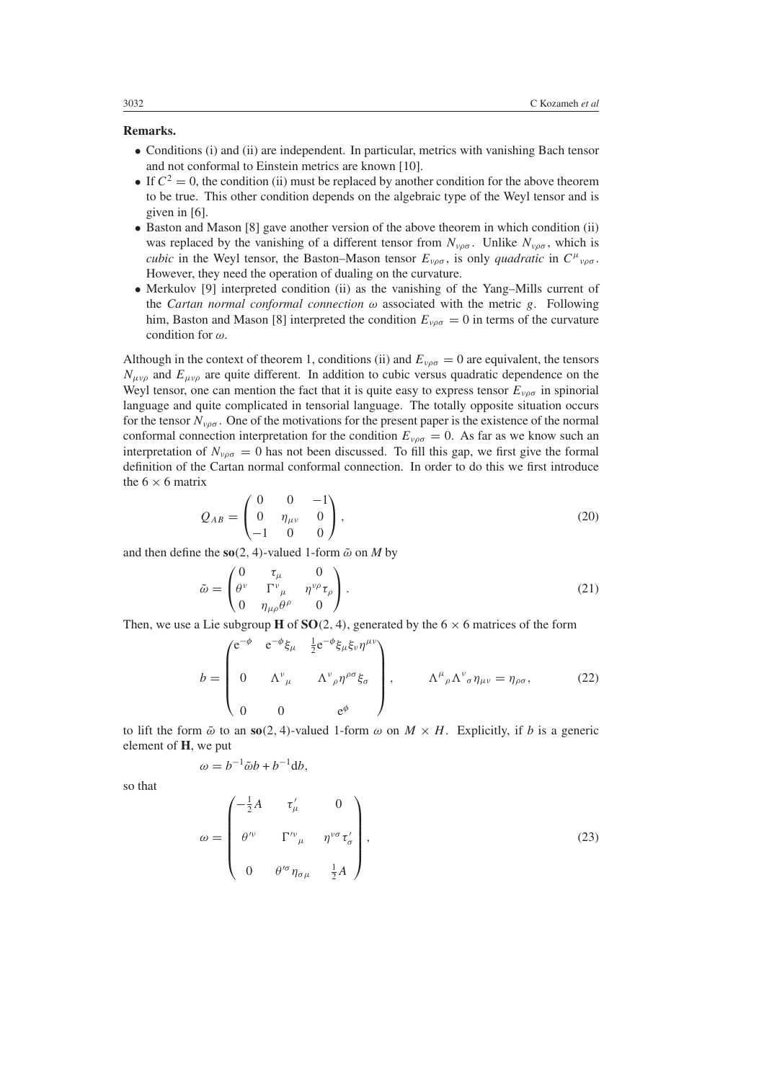## **Remarks.**

- Conditions (i) and (ii) are independent. In particular, metrics with vanishing Bach tensor and not conformal to Einstein metrics are known [10].
- If  $C^2 = 0$ , the condition (ii) must be replaced by another condition for the above theorem to be true. This other condition depends on the algebraic type of the Weyl tensor and is given in [6].
- Baston and Mason [8] gave another version of the above theorem in which condition (ii) was replaced by the vanishing of a different tensor from  $N_{\nu\rho\sigma}$ . Unlike  $N_{\nu\rho\sigma}$ , which is *cubic* in the Weyl tensor, the Baston–Mason tensor  $E_{\nu\rho\sigma}$ , is only *quadratic* in  $C^{\mu}{}_{\nu\rho\sigma}$ . However, they need the operation of dualing on the curvature.
- Merkulov [9] interpreted condition (ii) as the vanishing of the Yang–Mills current of the *Cartan normal conformal connection ω* associated with the metric *g*. Following him, Baston and Mason [8] interpreted the condition  $E_{\nu\rho\sigma} = 0$  in terms of the curvature condition for *ω*.

Although in the context of theorem 1, conditions (ii) and  $E_{\nu\rho\sigma} = 0$  are equivalent, the tensors  $N_{\mu\nu\rho}$  and  $E_{\mu\nu\rho}$  are quite different. In addition to cubic versus quadratic dependence on the Weyl tensor, one can mention the fact that it is quite easy to express tensor  $E_{\nu\rho\sigma}$  in spinorial language and quite complicated in tensorial language. The totally opposite situation occurs for the tensor  $N_{\nu\rho\sigma}$ . One of the motivations for the present paper is the existence of the normal conformal connection interpretation for the condition  $E_{\nu\rho\sigma} = 0$ . As far as we know such an interpretation of  $N_{\nu\rho\sigma} = 0$  has not been discussed. To fill this gap, we first give the formal definition of the Cartan normal conformal connection. In order to do this we first introduce the  $6 \times 6$  matrix

$$
Q_{AB} = \begin{pmatrix} 0 & 0 & -1 \\ 0 & \eta_{\mu\nu} & 0 \\ -1 & 0 & 0 \end{pmatrix},
$$
 (20)

and then define the  $\mathbf{so}(2, 4)$ -valued 1-form  $\tilde{\omega}$  on *M* by

$$
\tilde{\omega} = \begin{pmatrix} 0 & \tau_{\mu} & 0 \\ \theta^{\nu} & \Gamma^{\nu}_{\mu} & \eta^{\nu \rho} \tau_{\rho} \\ 0 & \eta_{\mu \rho} \theta^{\rho} & 0 \end{pmatrix} . \tag{21}
$$

Then, we use a Lie subgroup **H** of **SO** $(2, 4)$ , generated by the 6  $\times$  6 matrices of the form

$$
b = \begin{pmatrix} e^{-\phi} & e^{-\phi} \xi_{\mu} & \frac{1}{2} e^{-\phi} \xi_{\mu} \xi_{\nu} \eta^{\mu \nu} \\ 0 & \Lambda^{\nu}{}_{\mu} & \Lambda^{\nu}{}_{\rho} \eta^{\rho \sigma} \xi_{\sigma} \\ 0 & 0 & e^{\phi} \end{pmatrix}, \qquad \Lambda^{\mu}{}_{\rho} \Lambda^{\nu}{}_{\sigma} \eta_{\mu \nu} = \eta_{\rho \sigma}, \qquad (22)
$$

to lift the form  $\tilde{\omega}$  to an **so** $(2, 4)$ -valued 1-form  $\omega$  on  $M \times H$ . Explicitly, if *b* is a generic element of **H**, we put

$$
\omega = b^{-1}\tilde{\omega}b + b^{-1}\mathrm{d}b,
$$

<span id="page-3-0"></span>so that

$$
\omega = \begin{pmatrix} -\frac{1}{2}A & \tau'_{\mu} & 0 \\ \theta'^{\nu} & \Gamma^{\nu}{}_{\mu} & \eta^{\nu\sigma}\tau'_{\sigma} \\ 0 & \theta'^{\sigma}\eta_{\sigma\mu} & \frac{1}{2}A \end{pmatrix},
$$
(23)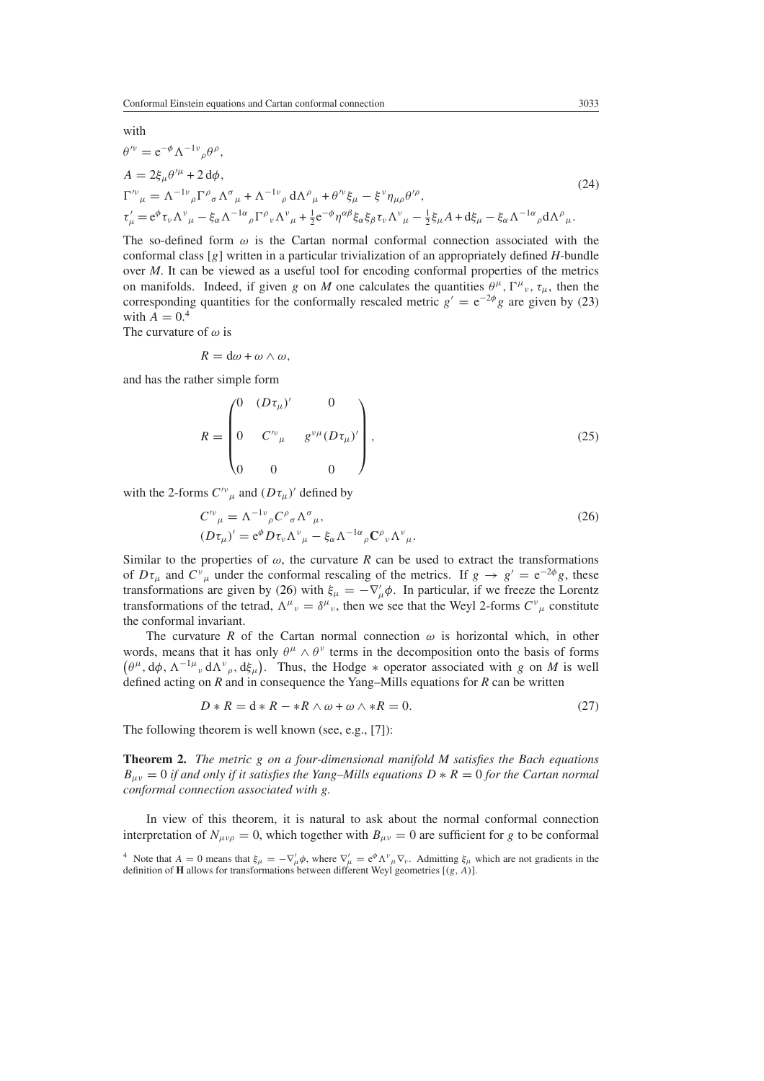with

$$
\theta^{\prime \nu} = e^{-\phi} \Lambda^{-1 \nu}{}_{\rho} \theta^{\rho},
$$
\n
$$
A = 2\xi_{\mu} \theta^{\prime \mu} + 2 d\phi,
$$
\n
$$
\Gamma^{\prime \nu}{}_{\mu} = \Lambda^{-1 \nu}{}_{\rho} \Gamma^{\rho}{}_{\sigma} \Lambda^{\sigma}{}_{\mu} + \Lambda^{-1 \nu}{}_{\rho} d\Lambda^{\rho}{}_{\mu} + \theta^{\prime \nu} \xi_{\mu} - \xi^{\nu} \eta_{\mu \rho} \theta^{\prime \rho},
$$
\n
$$
\tau^{\prime}{}_{\mu} = e^{\phi} \tau_{\nu} \Lambda^{\nu}{}_{\mu} - \xi_{\alpha} \Lambda^{-1 \alpha}{}_{\rho} \Gamma^{\rho}{}_{\nu} \Lambda^{\nu}{}_{\mu} + \frac{1}{2} e^{-\phi} \eta^{\alpha \beta} \xi_{\alpha} \xi_{\beta} \tau_{\nu} \Lambda^{\nu}{}_{\mu} - \frac{1}{2} \xi_{\mu} A + d\xi_{\mu} - \xi_{\alpha} \Lambda^{-1 \alpha}{}_{\rho} d\Lambda^{\rho}{}_{\mu}.
$$
\n(24)

The so-defined form  $\omega$  is the Cartan normal conformal connection associated with the conformal class [*g*] written in a particular trivialization of an appropriately defined *H*-bundle over *M*. It can be viewed as a useful tool for encoding conformal properties of the metrics on manifolds. Indeed, if given *g* on *M* one calculates the quantities  $\theta^{\mu}$ ,  $\Gamma^{\mu}{}_{\nu}$ ,  $\tau_{\mu}$ , then the corresponding quantities for the conformally rescaled metric  $g' = e^{-2\phi}g$  are given by [\(23\)](#page-3-0) with  $A = 0.4$ 

The curvature of *ω* is

$$
R = d\omega + \omega \wedge \omega,
$$

and has the rather simple form

$$
R = \begin{pmatrix} 0 & (D\tau_{\mu})' & 0 \\ 0 & C^{\nu}_{\ \mu} & g^{\nu\mu}(D\tau_{\mu})' \\ 0 & 0 & 0 \end{pmatrix},
$$
 (25)

<span id="page-4-0"></span>with the 2-forms  $C^{\prime\nu}{}_{\mu}$  and  $(D\tau_{\mu})'$  defined by

$$
C^{\prime \nu}_{\mu} = \Lambda^{-1 \nu}_{\rho} C^{\rho}_{\sigma} \Lambda^{\sigma}_{\mu},
$$
  
\n
$$
(D\tau_{\mu})' = e^{\phi} D\tau_{\nu} \Lambda^{\nu}_{\mu} - \xi_{\alpha} \Lambda^{-1 \alpha}_{\rho} C^{\rho}_{\nu} \Lambda^{\nu}_{\mu}.
$$
\n(26)

Similar to the properties of  $\omega$ , the curvature *R* can be used to extract the transformations of  $D\tau_\mu$  and  $C^\nu{}_\mu$  under the conformal rescaling of the metrics. If  $g \to g' = e^{-2\phi}g$ , these transformations are given by [\(26\)](#page-4-0) with  $\xi_{\mu} = -\nabla'_{\mu} \phi$ . In particular, if we freeze the Lorentz transformations of the tetrad,  $\Lambda^{\mu}{}_{\nu} = \delta^{\mu}{}_{\nu}$ , then we see that the Weyl 2-forms  $C^{\nu}{}_{\mu}$  constitute the conformal invariant.

The curvature *R* of the Cartan normal connection  $\omega$  is horizontal which, in other words, means that it has only  $\theta^{\mu} \wedge \theta^{\nu}$  terms in the decomposition onto the basis of forms  $(\theta^{\mu}, d\phi, \Lambda^{-1\mu}{}_{\nu} d\Lambda^{\nu}{}_{\rho}, d\xi_{\mu})$ . Thus, the Hodge  $*$  operator associated with *g* on *M* is well defined acting on *R* and in consequence the Yang–Mills equations for *R* can be written

$$
D * R = d * R - *R \wedge \omega + \omega \wedge *R = 0. \tag{27}
$$

The following theorem is well known (see, e.g., [7]):

**Theorem 2.** *The metric g on a four-dimensional manifold M satisfies the Bach equations*  $B_{\mu\nu} = 0$  *if and only if it satisfies the Yang–Mills equations*  $D * R = 0$  *for the Cartan normal conformal connection associated with g.*

In view of this theorem, it is natural to ask about the normal conformal connection interpretation of  $N_{\mu\nu\rho} = 0$ , which together with  $B_{\mu\nu} = 0$  are sufficient for *g* to be conformal

<sup>&</sup>lt;sup>4</sup> Note that  $A = 0$  means that  $\xi_{\mu} = -\nabla'_{\mu} \phi$ , where  $\nabla'_{\mu} = e^{\phi} \Lambda^{\nu}{}_{\mu} \nabla_{\nu}$ . Admitting  $\xi_{\mu}$  which are not gradients in the definition of **H** allows for transformations between different Weyl geometries [*(g, A)*].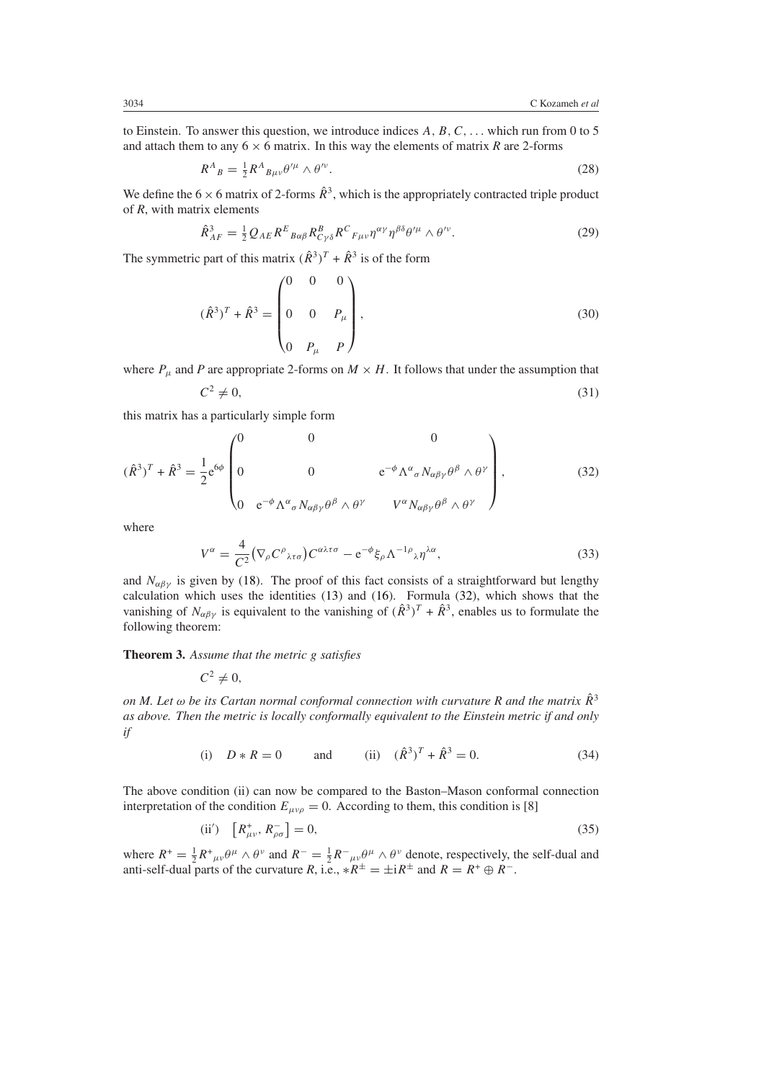to Einstein. To answer this question, we introduce indices *A, B,C, ...* which run from 0 to 5 and attach them to any  $6 \times 6$  matrix. In this way the elements of matrix *R* are 2-forms

$$
R^A{}_B = \frac{1}{2} R^A{}_{B\mu\nu} \theta^{\prime \mu} \wedge \theta^{\prime \nu}.
$$
\n<sup>(28)</sup>

We define the  $6 \times 6$  matrix of 2-forms  $\hat{R}^3$ , which is the appropriately contracted triple product of *R*, with matrix elements

$$
\hat{R}_{AF}^3 = \frac{1}{2} Q_{AE} R^E_{\ \ B\alpha\beta} R_{C\gamma\delta}^B R^C_{\ F\mu\nu} \eta^{\alpha\gamma} \eta^{\beta\delta} \theta^{\prime\mu} \wedge \theta^{\prime\nu}.
$$

The symmetric part of this matrix  $(\hat{R}^3)^T + \hat{R}^3$  is of the form

$$
(\hat{R}^3)^T + \hat{R}^3 = \begin{pmatrix} 0 & 0 & 0 \\ 0 & 0 & P_{\mu} \\ 0 & P_{\mu} & P \end{pmatrix},
$$
(30)

where  $P_\mu$  and *P* are appropriate 2-forms on  $M \times H$ . It follows that under the assumption that

$$
C^2 \neq 0,\tag{31}
$$

this matrix has a particularly simple form

<span id="page-5-0"></span>
$$
(\hat{R}^3)^T + \hat{R}^3 = \frac{1}{2} e^{6\phi} \begin{pmatrix} 0 & 0 & 0 \\ 0 & 0 & e^{-\phi} \Lambda^{\alpha}{}_{\sigma} N_{\alpha\beta\gamma} \theta^{\beta} \wedge \theta^{\gamma} \\ 0 & e^{-\phi} \Lambda^{\alpha}{}_{\sigma} N_{\alpha\beta\gamma} \theta^{\beta} \wedge \theta^{\gamma} & V^{\alpha} N_{\alpha\beta\gamma} \theta^{\beta} \wedge \theta^{\gamma} \end{pmatrix},
$$
(32)

where

$$
V^{\alpha} = \frac{4}{C^2} \left( \nabla_{\rho} C^{\rho}{}_{\lambda \tau \sigma} \right) C^{\alpha \lambda \tau \sigma} - e^{-\phi} \xi_{\rho} \Lambda^{-1 \rho}{}_{\lambda} \eta^{\lambda \alpha}, \tag{33}
$$

and  $N_{\alpha\beta\gamma}$  is given by [\(18\)](#page-2-0). The proof of this fact consists of a straightforward but lengthy calculation which uses the identities [\(13\)](#page-2-1) and [\(16\)](#page-2-2). Formula [\(32\)](#page-5-0), which shows that the vanishing of  $N_{\alpha\beta\gamma}$  is equivalent to the vanishing of  $(\hat{R}^3)^T + \hat{R}^3$ , enables us to formulate the following theorem:

**Theorem 3.** *Assume that the metric g satisfies*

$$
C^2\neq 0,
$$

*on M. Let*  $\omega$  *be its Cartan normal conformal connection with curvature R and the matrix*  $\hat{R}^3$ *as above. Then the metric is locally conformally equivalent to the Einstein metric if and only if*

(i) 
$$
D * R = 0
$$
 and (ii)  $(\hat{R}^3)^T + \hat{R}^3 = 0.$  (34)

The above condition (ii) can now be compared to the Baston–Mason conformal connection interpretation of the condition  $E_{\mu\nu\rho} = 0$ . According to them, this condition is [8]

$$
(ii') \quad \left[ R^+_{\mu\nu}, R^-_{\rho\sigma} \right] = 0,\tag{35}
$$

where  $R^+ = \frac{1}{2}R^+{}_{\mu\nu}\theta^\mu \wedge \theta^\nu$  and  $R^- = \frac{1}{2}R^-{}_{\mu\nu}\theta^\mu \wedge \theta^\nu$  denote, respectively, the self-dual and anti-self-dual parts of the curvature *R*, i.e.,  $*R^{\pm} = \pm iR^{\pm}$  and  $R = R^+ \oplus R^-$ .